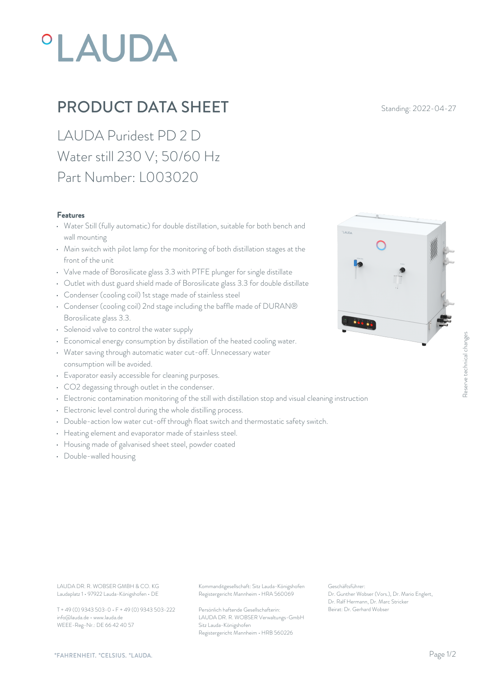# *OLAUDA*

## PRODUCT DATA SHEET Standing: 2022-04-27

LAUDA Puridest PD 2 D Water still 230 V; 50/60 Hz Part Number: L003020

#### Features

- Water Still (fully automatic) for double distillation, suitable for both bench and wall mounting
- Main switch with pilot lamp for the monitoring of both distillation stages at the front of the unit
- Valve made of Borosilicate glass 3.3 with PTFE plunger for single distillate
- Outlet with dust guard shield made of Borosilicate glass 3.3 for double distillate
- Condenser (cooling coil) 1st stage made of stainless steel
- Condenser (cooling coil) 2nd stage including the baffle made of DURAN® Borosilicate glass 3.3.
- Solenoid valve to control the water supply
- Economical energy consumption by distillation of the heated cooling water.
- Water saving through automatic water cut-off. Unnecessary water consumption will be avoided. • Economical energy consumption by distillation of the heated cooling water.<br>• Water saving through automatic water cut-off. Unnecessary water<br>• Evaporator easily accessible for cleaning purposes.<br>• CO2 degassing through o
- Evaporator easily accessible for cleaning purposes.
- CO2 degassing through outlet in the condenser.
- 
- Electronic level control during the whole distilling process.
- Double-action low water cut-off through float switch and thermostatic safety switch.
- Heating element and evaporator made of stainless steel.
- Housing made of galvanised sheet steel, powder coated
- Double-walled housing



Laudaplatz 1 • 97922 Lauda-Königshofen • DE

T + 49 (0) 9343 503-0 • F + 49 (0) 9343 503-222 info@lauda.de • www.lauda.de WEEE-Reg-Nr.: DE 66 42 40 57

LAUDA DR. R. WOBSER GMBH & CO. KG Kommanditgesellschaft: Sitz Lauda-Königshofen Geschäftsführer: Registergericht Mannheim • HRA 560069

> Persönlich haftende Gesellschafterin: Beirat: Dr. Gerhard Wobse LAUDA DR. R. WOBSER Verwaltungs-GmbH Sitz Lauda-Königshofen Registergericht Mannheim • HRB 560226

Geschäftsführer: Dr. Gunther Wobser (Vors.), Dr. Mario Englert, Dr. Ralf Hermann, Dr. Marc Stricker Beschäftsführer:<br>Beischäftsführer:<br>Dr. Gunther Wobser (Vors.), Dr. Mario Englert,<br>Dr. Ralf Hermann, Dr. Marc Stricker<br>Beirat: Dr. Gerhard Wobser

#### *"FAHRENHEIT. "CELSIUS. "LAUDA.*